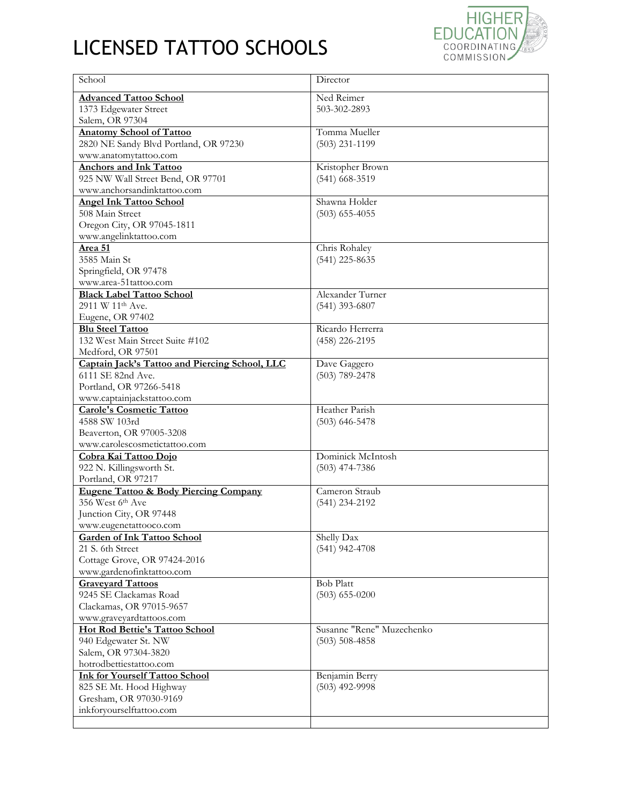## LICENSED TATTOO SCHOOLS



| School                                                              | Director                  |
|---------------------------------------------------------------------|---------------------------|
| <b>Advanced Tattoo School</b>                                       | Ned Reimer                |
| 1373 Edgewater Street                                               | 503-302-2893              |
| Salem, OR 97304                                                     |                           |
| <b>Anatomy School of Tattoo</b>                                     | Tomma Mueller             |
| 2820 NE Sandy Blvd Portland, OR 97230                               | $(503)$ 231-1199          |
| www.anatomytattoo.com                                               |                           |
| <b>Anchors and Ink Tattoo</b>                                       | Kristopher Brown          |
| 925 NW Wall Street Bend, OR 97701                                   | $(541)$ 668-3519          |
| www.anchorsandinktattoo.com                                         |                           |
| <b>Angel Ink Tattoo School</b>                                      | Shawna Holder             |
| 508 Main Street                                                     | $(503)$ 655-4055          |
| Oregon City, OR 97045-1811                                          |                           |
| www.angelinktattoo.com                                              |                           |
| Area 51                                                             | Chris Rohaley             |
| 3585 Main St                                                        | $(541)$ 225-8635          |
| Springfield, OR 97478                                               |                           |
| www.area-51tattoo.com                                               |                           |
| <b>Black Label Tattoo School</b>                                    | Alexander Turner          |
| 2911 W 11 <sup>th</sup> Ave.                                        | $(541)$ 393-6807          |
| Eugene, OR 97402                                                    |                           |
| <b>Blu Steel Tattoo</b>                                             | Ricardo Herrerra          |
| 132 West Main Street Suite #102                                     | (458) 226-2195            |
| Medford, OR 97501                                                   |                           |
| Captain Jack's Tattoo and Piercing School, LLC<br>6111 SE 82nd Ave. | Dave Gaggero              |
| Portland, OR 97266-5418                                             | $(503)$ 789-2478          |
| www.captainjackstattoo.com                                          |                           |
| <b>Carole's Cosmetic Tattoo</b>                                     | Heather Parish            |
| 4588 SW 103rd                                                       | $(503)$ 646-5478          |
| Beaverton, OR 97005-3208                                            |                           |
| www.carolescosmetictattoo.com                                       |                           |
| Cobra Kai Tattoo Dojo                                               | Dominick McIntosh         |
| 922 N. Killingsworth St.                                            | $(503)$ 474-7386          |
| Portland, OR 97217                                                  |                           |
| <b>Eugene Tattoo &amp; Body Piercing Company</b>                    | Cameron Straub            |
| 356 West 6th Ave                                                    | (541) 234-2192            |
| Junction City, OR 97448                                             |                           |
| www.eugenetattooco.com                                              |                           |
| <b>Garden of Ink Tattoo School</b>                                  | Shelly Dax                |
| 21 S. 6th Street                                                    | $(541)$ 942-4708          |
| Cottage Grove, OR 97424-2016                                        |                           |
| www.gardenofinktattoo.com                                           |                           |
| <b>Graveyard Tattoos</b>                                            | <b>Bob Platt</b>          |
| 9245 SE Clackamas Road                                              | $(503)$ 655-0200          |
| Clackamas, OR 97015-9657                                            |                           |
| www.graveyardtattoos.com                                            |                           |
| Hot Rod Bettie's Tattoo School                                      | Susanne "Rene" Muzechenko |
| 940 Edgewater St. NW                                                | $(503) 508 - 4858$        |
| Salem, OR 97304-3820                                                |                           |
| hotrodbettiestattoo.com                                             |                           |
| <b>Ink for Yourself Tattoo School</b>                               | Benjamin Berry            |
| 825 SE Mt. Hood Highway                                             | $(503)$ 492-9998          |
| Gresham, OR 97030-9169                                              |                           |
| inkforyourselftattoo.com                                            |                           |